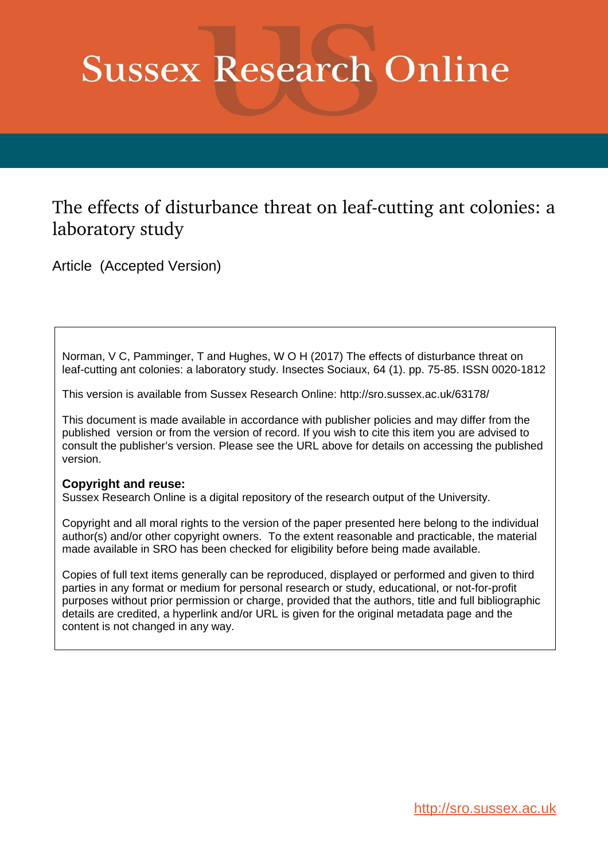# **Sussex Research Online**

# The effects of disturbance threat on leaf-cutting ant colonies: a laboratory study

Article (Accepted Version)

Norman, V C, Pamminger, T and Hughes, W O H (2017) The effects of disturbance threat on leaf-cutting ant colonies: a laboratory study. Insectes Sociaux, 64 (1). pp. 75-85. ISSN 0020-1812

This version is available from Sussex Research Online: http://sro.sussex.ac.uk/63178/

This document is made available in accordance with publisher policies and may differ from the published version or from the version of record. If you wish to cite this item you are advised to consult the publisher's version. Please see the URL above for details on accessing the published version.

# **Copyright and reuse:**

Sussex Research Online is a digital repository of the research output of the University.

Copyright and all moral rights to the version of the paper presented here belong to the individual author(s) and/or other copyright owners. To the extent reasonable and practicable, the material made available in SRO has been checked for eligibility before being made available.

Copies of full text items generally can be reproduced, displayed or performed and given to third parties in any format or medium for personal research or study, educational, or not-for-profit purposes without prior permission or charge, provided that the authors, title and full bibliographic details are credited, a hyperlink and/or URL is given for the original metadata page and the content is not changed in any way.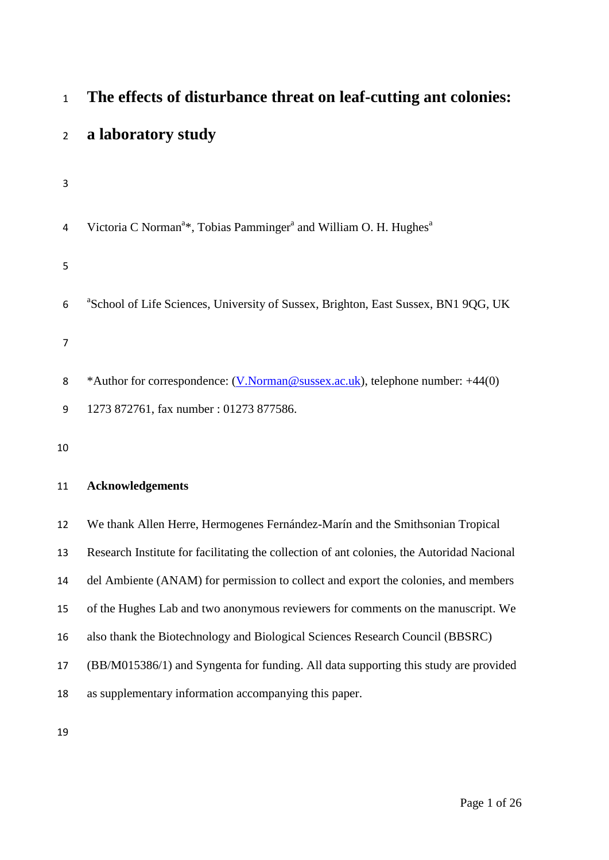| $\mathbf{1}$   | The effects of disturbance threat on leaf-cutting ant colonies:                                       |
|----------------|-------------------------------------------------------------------------------------------------------|
| $\overline{2}$ | a laboratory study                                                                                    |
| 3              |                                                                                                       |
| 4              | Victoria C Norman <sup>a*</sup> , Tobias Pamminger <sup>a</sup> and William O. H. Hughes <sup>a</sup> |
| 5              |                                                                                                       |
| 6              | <sup>a</sup> School of Life Sciences, University of Sussex, Brighton, East Sussex, BN1 9QG, UK        |
| $\overline{7}$ |                                                                                                       |
| 8              | *Author for correspondence: (V.Norman@sussex.ac.uk), telephone number: +44(0)                         |
| 9              | 1273 872761, fax number: 01273 877586.                                                                |
| 10             |                                                                                                       |
| 11             | <b>Acknowledgements</b>                                                                               |
| 12             | We thank Allen Herre, Hermogenes Fernández-Marín and the Smithsonian Tropical                         |
| 13             | Research Institute for facilitating the collection of ant colonies, the Autoridad Nacional            |
| 14             | del Ambiente (ANAM) for permission to collect and export the colonies, and members                    |
| 15             | of the Hughes Lab and two anonymous reviewers for comments on the manuscript. We                      |
| 16             | also thank the Biotechnology and Biological Sciences Research Council (BBSRC)                         |
| 17             | (BB/M015386/1) and Syngenta for funding. All data supporting this study are provided                  |
| 18             | as supplementary information accompanying this paper.                                                 |
| 19             |                                                                                                       |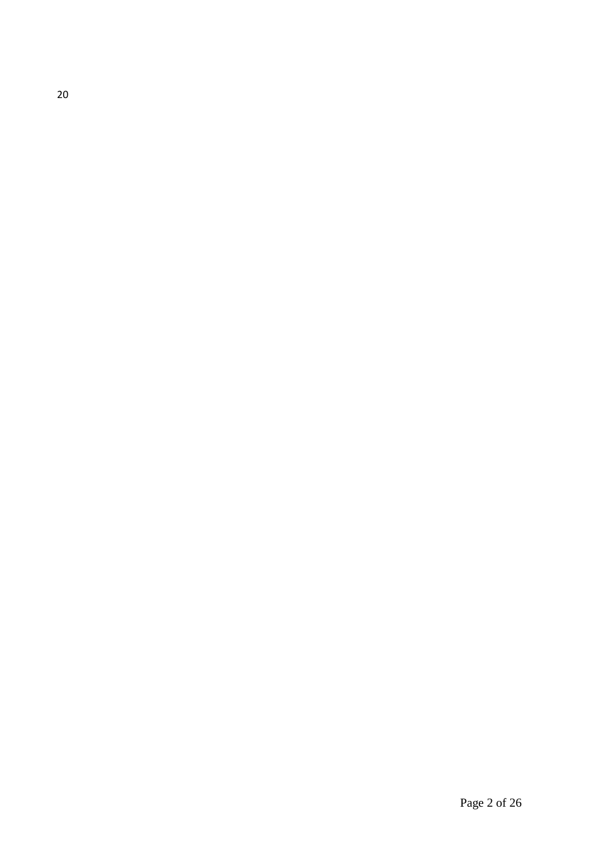20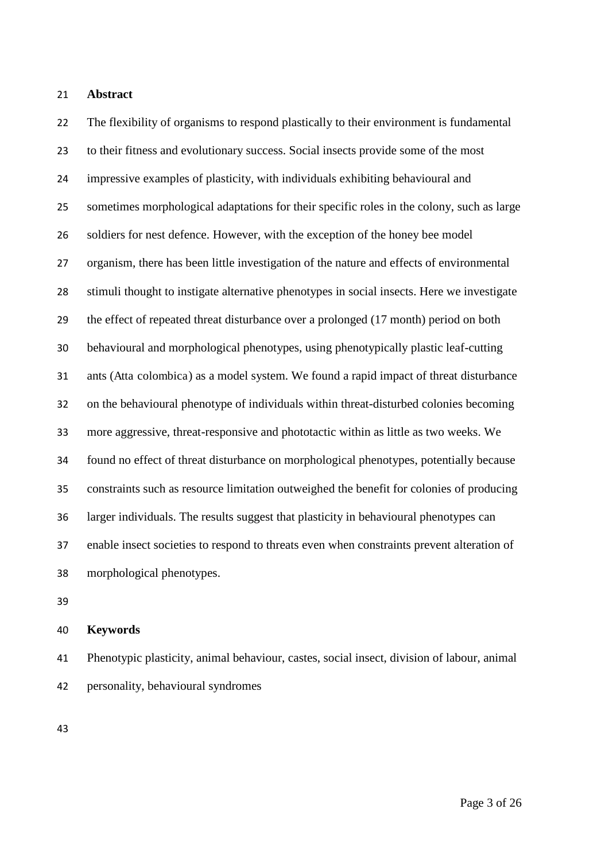#### **Abstract**

 The flexibility of organisms to respond plastically to their environment is fundamental to their fitness and evolutionary success. Social insects provide some of the most impressive examples of plasticity, with individuals exhibiting behavioural and sometimes morphological adaptations for their specific roles in the colony, such as large soldiers for nest defence. However, with the exception of the honey bee model organism, there has been little investigation of the nature and effects of environmental stimuli thought to instigate alternative phenotypes in social insects. Here we investigate the effect of repeated threat disturbance over a prolonged (17 month) period on both behavioural and morphological phenotypes, using phenotypically plastic leaf-cutting ants (Atta colombica) as a model system. We found a rapid impact of threat disturbance on the behavioural phenotype of individuals within threat-disturbed colonies becoming more aggressive, threat-responsive and phototactic within as little as two weeks. We found no effect of threat disturbance on morphological phenotypes, potentially because constraints such as resource limitation outweighed the benefit for colonies of producing larger individuals. The results suggest that plasticity in behavioural phenotypes can enable insect societies to respond to threats even when constraints prevent alteration of morphological phenotypes.

#### **Keywords**

 Phenotypic plasticity, animal behaviour, castes, social insect, division of labour, animal personality, behavioural syndromes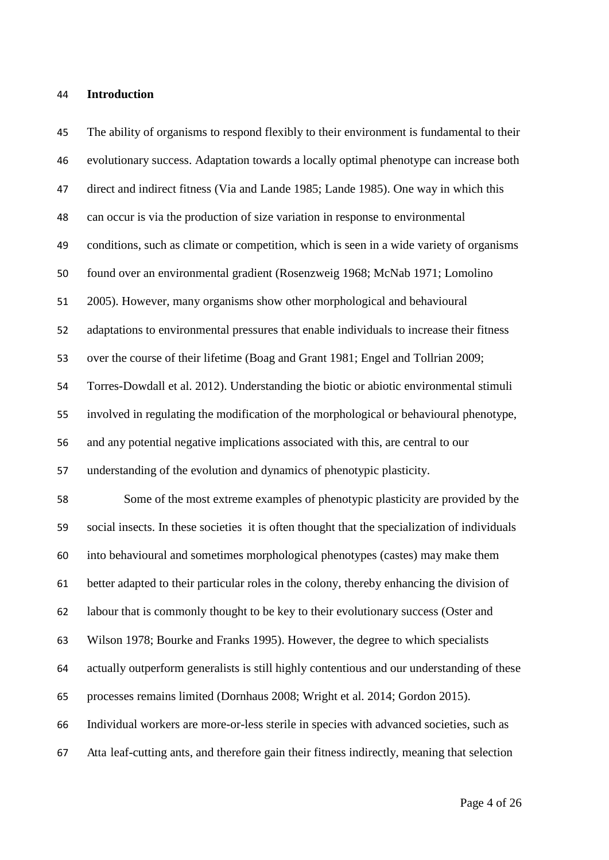#### **Introduction**

 The ability of organisms to respond flexibly to their environment is fundamental to their evolutionary success. Adaptation towards a locally optimal phenotype can increase both direct and indirect fitness (Via and Lande 1985; Lande 1985). One way in which this can occur is via the production of size variation in response to environmental conditions, such as climate or competition, which is seen in a wide variety of organisms found over an environmental gradient (Rosenzweig 1968; McNab 1971; Lomolino 2005). However, many organisms show other morphological and behavioural adaptations to environmental pressures that enable individuals to increase their fitness over the course of their lifetime (Boag and Grant 1981; Engel and Tollrian 2009; Torres-Dowdall et al. 2012). Understanding the biotic or abiotic environmental stimuli involved in regulating the modification of the morphological or behavioural phenotype, and any potential negative implications associated with this, are central to our understanding of the evolution and dynamics of phenotypic plasticity. Some of the most extreme examples of phenotypic plasticity are provided by the social insects. In these societies it is often thought that the specialization of individuals into behavioural and sometimes morphological phenotypes (castes) may make them better adapted to their particular roles in the colony, thereby enhancing the division of labour that is commonly thought to be key to their evolutionary success (Oster and Wilson 1978; Bourke and Franks 1995). However, the degree to which specialists actually outperform generalists is still highly contentious and our understanding of these processes remains limited (Dornhaus 2008; Wright et al. 2014; Gordon 2015). Individual workers are more-or-less sterile in species with advanced societies, such as Atta leaf-cutting ants, and therefore gain their fitness indirectly, meaning that selection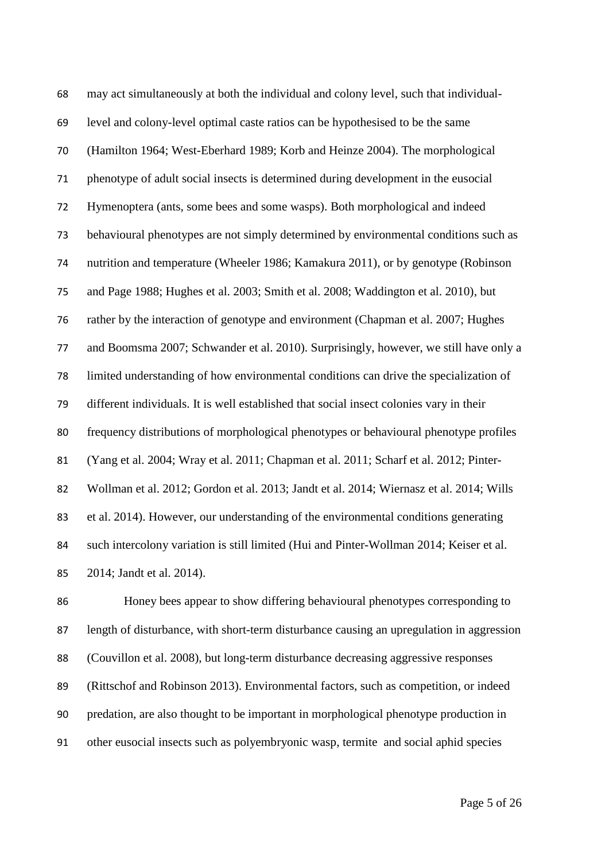may act simultaneously at both the individual and colony level, such that individual- level and colony-level optimal caste ratios can be hypothesised to be the same (Hamilton 1964; West-Eberhard 1989; Korb and Heinze 2004). The morphological phenotype of adult social insects is determined during development in the eusocial Hymenoptera (ants, some bees and some wasps). Both morphological and indeed behavioural phenotypes are not simply determined by environmental conditions such as nutrition and temperature (Wheeler 1986; Kamakura 2011), or by genotype (Robinson and Page 1988; Hughes et al. 2003; Smith et al. 2008; Waddington et al. 2010), but rather by the interaction of genotype and environment (Chapman et al. 2007; Hughes and Boomsma 2007; Schwander et al. 2010). Surprisingly, however, we still have only a limited understanding of how environmental conditions can drive the specialization of different individuals. It is well established that social insect colonies vary in their frequency distributions of morphological phenotypes or behavioural phenotype profiles (Yang et al. 2004; Wray et al. 2011; Chapman et al. 2011; Scharf et al. 2012; Pinter- Wollman et al. 2012; Gordon et al. 2013; Jandt et al. 2014; Wiernasz et al. 2014; Wills et al. 2014). However, our understanding of the environmental conditions generating such intercolony variation is still limited (Hui and Pinter-Wollman 2014; Keiser et al. 2014; Jandt et al. 2014).

 Honey bees appear to show differing behavioural phenotypes corresponding to length of disturbance, with short-term disturbance causing an upregulation in aggression (Couvillon et al. 2008), but long-term disturbance decreasing aggressive responses (Rittschof and Robinson 2013). Environmental factors, such as competition, or indeed predation, are also thought to be important in morphological phenotype production in other eusocial insects such as polyembryonic wasp, termite and social aphid species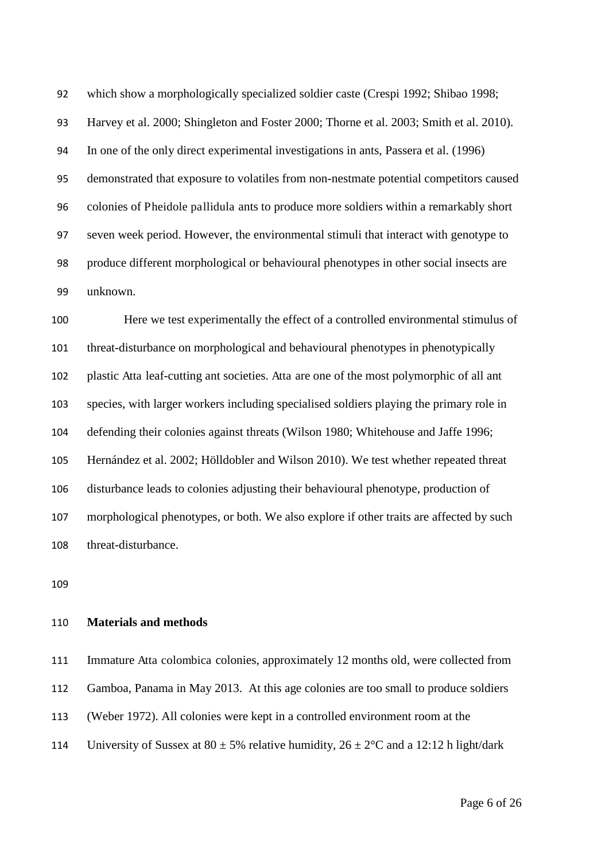which show a morphologically specialized soldier caste (Crespi 1992; Shibao 1998; Harvey et al. 2000; Shingleton and Foster 2000; Thorne et al. 2003; Smith et al. 2010). In one of the only direct experimental investigations in ants, Passera et al. (1996) demonstrated that exposure to volatiles from non-nestmate potential competitors caused colonies of Pheidole pallidula ants to produce more soldiers within a remarkably short seven week period. However, the environmental stimuli that interact with genotype to produce different morphological or behavioural phenotypes in other social insects are unknown.

 Here we test experimentally the effect of a controlled environmental stimulus of threat-disturbance on morphological and behavioural phenotypes in phenotypically plastic Atta leaf-cutting ant societies. Atta are one of the most polymorphic of all ant species, with larger workers including specialised soldiers playing the primary role in defending their colonies against threats (Wilson 1980; Whitehouse and Jaffe 1996; Hernández et al. 2002; Hölldobler and Wilson 2010). We test whether repeated threat disturbance leads to colonies adjusting their behavioural phenotype, production of morphological phenotypes, or both. We also explore if other traits are affected by such threat-disturbance.

#### **Materials and methods**

 Immature Atta colombica colonies, approximately 12 months old, were collected from Gamboa, Panama in May 2013. At this age colonies are too small to produce soldiers (Weber 1972). All colonies were kept in a controlled environment room at the 114 University of Sussex at  $80 \pm 5\%$  relative humidity,  $26 \pm 2\degree$ C and a 12:12 h light/dark

Page 6 of 26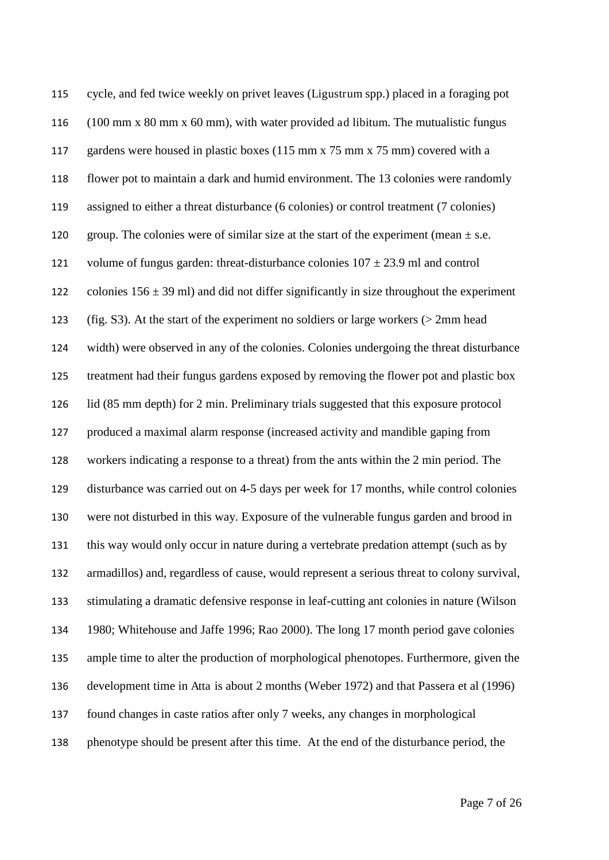cycle, and fed twice weekly on privet leaves (Ligustrum spp.) placed in a foraging pot (100 mm x 80 mm x 60 mm), with water provided ad libitum. The mutualistic fungus 117 gardens were housed in plastic boxes (115 mm x 75 mm x 75 mm) covered with a flower pot to maintain a dark and humid environment. The 13 colonies were randomly assigned to either a threat disturbance (6 colonies) or control treatment (7 colonies) 120 group. The colonies were of similar size at the start of the experiment (mean  $\pm$  s.e. 121 volume of fungus garden: threat-disturbance colonies  $107 \pm 23.9$  ml and control 122 colonies  $156 \pm 39$  ml) and did not differ significantly in size throughout the experiment (fig. S3). At the start of the experiment no soldiers or large workers (> 2mm head width) were observed in any of the colonies. Colonies undergoing the threat disturbance treatment had their fungus gardens exposed by removing the flower pot and plastic box lid (85 mm depth) for 2 min. Preliminary trials suggested that this exposure protocol produced a maximal alarm response (increased activity and mandible gaping from workers indicating a response to a threat) from the ants within the 2 min period. The disturbance was carried out on 4-5 days per week for 17 months, while control colonies were not disturbed in this way. Exposure of the vulnerable fungus garden and brood in this way would only occur in nature during a vertebrate predation attempt (such as by armadillos) and, regardless of cause, would represent a serious threat to colony survival, stimulating a dramatic defensive response in leaf-cutting ant colonies in nature (Wilson 1980; Whitehouse and Jaffe 1996; Rao 2000). The long 17 month period gave colonies ample time to alter the production of morphological phenotopes. Furthermore, given the development time in Atta is about 2 months (Weber 1972) and that Passera et al (1996) found changes in caste ratios after only 7 weeks, any changes in morphological phenotype should be present after this time. At the end of the disturbance period, the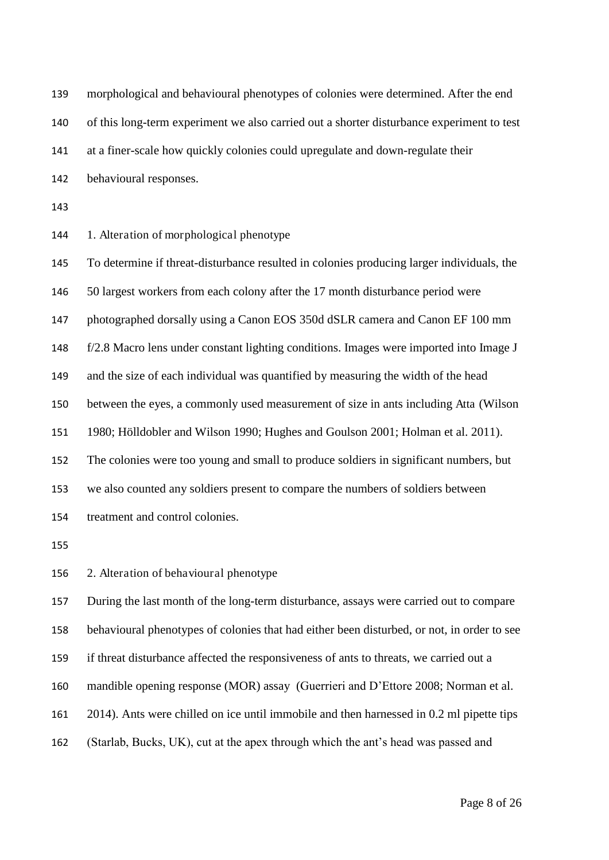morphological and behavioural phenotypes of colonies were determined. After the end of this long-term experiment we also carried out a shorter disturbance experiment to test at a finer-scale how quickly colonies could upregulate and down-regulate their behavioural responses.

1. Alteration of morphological phenotype

 To determine if threat-disturbance resulted in colonies producing larger individuals, the 50 largest workers from each colony after the 17 month disturbance period were photographed dorsally using a Canon EOS 350d dSLR camera and Canon EF 100 mm f/2.8 Macro lens under constant lighting conditions. Images were imported into Image J and the size of each individual was quantified by measuring the width of the head between the eyes, a commonly used measurement of size in ants including Atta (Wilson 1980; Hölldobler and Wilson 1990; Hughes and Goulson 2001; Holman et al. 2011). The colonies were too young and small to produce soldiers in significant numbers, but we also counted any soldiers present to compare the numbers of soldiers between treatment and control colonies.

2. Alteration of behavioural phenotype

During the last month of the long-term disturbance, assays were carried out to compare

behavioural phenotypes of colonies that had either been disturbed, or not, in order to see

if threat disturbance affected the responsiveness of ants to threats, we carried out a

mandible opening response (MOR) assay (Guerrieri and D'Ettore 2008; Norman et al.

2014). Ants were chilled on ice until immobile and then harnessed in 0.2 ml pipette tips

(Starlab, Bucks, UK), cut at the apex through which the ant's head was passed and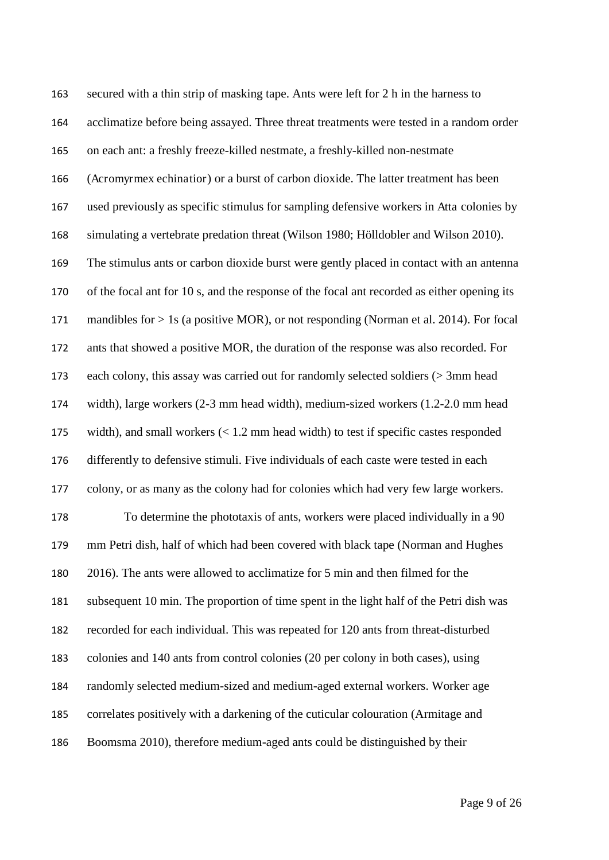secured with a thin strip of masking tape. Ants were left for 2 h in the harness to acclimatize before being assayed. Three threat treatments were tested in a random order on each ant: a freshly freeze-killed nestmate, a freshly-killed non-nestmate (Acromyrmex echinatior) or a burst of carbon dioxide. The latter treatment has been used previously as specific stimulus for sampling defensive workers in Atta colonies by simulating a vertebrate predation threat (Wilson 1980; Hölldobler and Wilson 2010). The stimulus ants or carbon dioxide burst were gently placed in contact with an antenna of the focal ant for 10 s, and the response of the focal ant recorded as either opening its mandibles for > 1s (a positive MOR), or not responding (Norman et al. 2014). For focal ants that showed a positive MOR, the duration of the response was also recorded. For each colony, this assay was carried out for randomly selected soldiers (> 3mm head width), large workers (2-3 mm head width), medium-sized workers (1.2-2.0 mm head width), and small workers (< 1.2 mm head width) to test if specific castes responded differently to defensive stimuli. Five individuals of each caste were tested in each colony, or as many as the colony had for colonies which had very few large workers. To determine the phototaxis of ants, workers were placed individually in a 90 mm Petri dish, half of which had been covered with black tape (Norman and Hughes 2016). The ants were allowed to acclimatize for 5 min and then filmed for the subsequent 10 min. The proportion of time spent in the light half of the Petri dish was recorded for each individual. This was repeated for 120 ants from threat-disturbed colonies and 140 ants from control colonies (20 per colony in both cases), using randomly selected medium-sized and medium-aged external workers. Worker age correlates positively with a darkening of the cuticular colouration (Armitage and Boomsma 2010), therefore medium-aged ants could be distinguished by their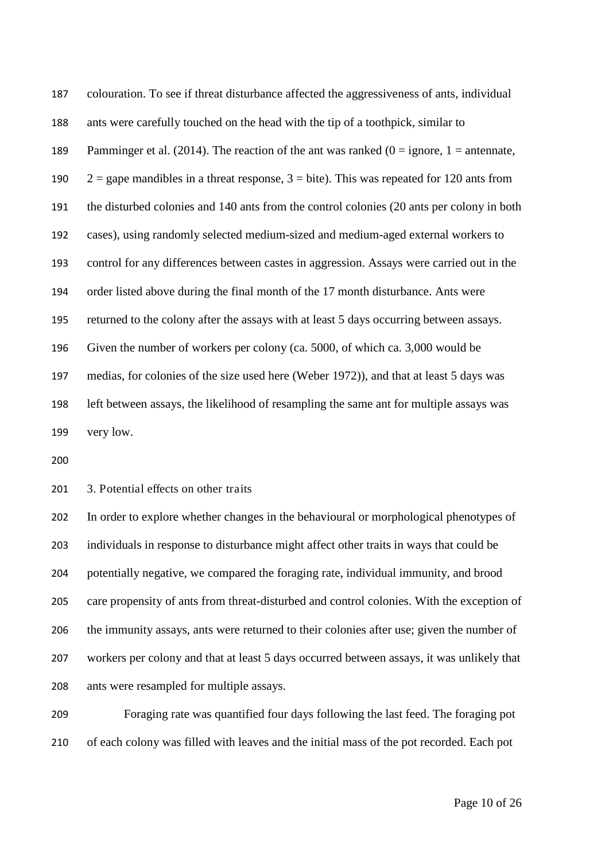colouration. To see if threat disturbance affected the aggressiveness of ants, individual ants were carefully touched on the head with the tip of a toothpick, similar to 189 Pamminger et al. (2014). The reaction of the ant was ranked ( $0 =$  ignore,  $1 =$  antennate,  $2 =$  gape mandibles in a threat response,  $3 =$  bite). This was repeated for 120 ants from the disturbed colonies and 140 ants from the control colonies (20 ants per colony in both cases), using randomly selected medium-sized and medium-aged external workers to control for any differences between castes in aggression. Assays were carried out in the order listed above during the final month of the 17 month disturbance. Ants were returned to the colony after the assays with at least 5 days occurring between assays. Given the number of workers per colony (ca. 5000, of which ca. 3,000 would be medias, for colonies of the size used here (Weber 1972)), and that at least 5 days was left between assays, the likelihood of resampling the same ant for multiple assays was very low.

201 3. Potential effects on other traits

 In order to explore whether changes in the behavioural or morphological phenotypes of individuals in response to disturbance might affect other traits in ways that could be potentially negative, we compared the foraging rate, individual immunity, and brood care propensity of ants from threat-disturbed and control colonies. With the exception of the immunity assays, ants were returned to their colonies after use; given the number of workers per colony and that at least 5 days occurred between assays, it was unlikely that ants were resampled for multiple assays.

 Foraging rate was quantified four days following the last feed. The foraging pot of each colony was filled with leaves and the initial mass of the pot recorded. Each pot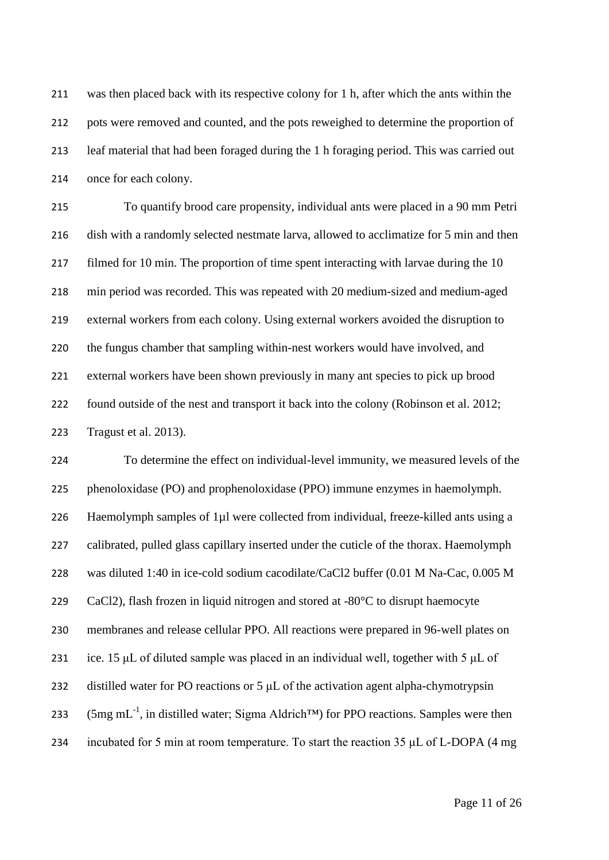was then placed back with its respective colony for 1 h, after which the ants within the pots were removed and counted, and the pots reweighed to determine the proportion of leaf material that had been foraged during the 1 h foraging period. This was carried out once for each colony.

 To quantify brood care propensity, individual ants were placed in a 90 mm Petri dish with a randomly selected nestmate larva, allowed to acclimatize for 5 min and then 217 filmed for 10 min. The proportion of time spent interacting with larvae during the 10 min period was recorded. This was repeated with 20 medium-sized and medium-aged external workers from each colony. Using external workers avoided the disruption to the fungus chamber that sampling within-nest workers would have involved, and external workers have been shown previously in many ant species to pick up brood found outside of the nest and transport it back into the colony (Robinson et al. 2012; Tragust et al. 2013).

 To determine the effect on individual-level immunity, we measured levels of the phenoloxidase (PO) and prophenoloxidase (PPO) immune enzymes in haemolymph. 226 Haemolymph samples of 1µl were collected from individual, freeze-killed ants using a calibrated, pulled glass capillary inserted under the cuticle of the thorax. Haemolymph was diluted 1:40 in ice-cold sodium cacodilate/CaCl2 buffer (0.01 M Na-Cac, 0.005 M CaCl2), flash frozen in liquid nitrogen and stored at -80°C to disrupt haemocyte membranes and release cellular PPO. All reactions were prepared in 96-well plates on 231 ice. 15 μL of diluted sample was placed in an individual well, together with 5 μL of distilled water for PO reactions or 5 μL of the activation agent alpha-chymotrypsin 233 (5mg mL<sup>-1</sup>, in distilled water; Sigma Aldrich<sup>™</sup>) for PPO reactions. Samples were then incubated for 5 min at room temperature. To start the reaction 35 μL of L-DOPA (4 mg

Page 11 of 26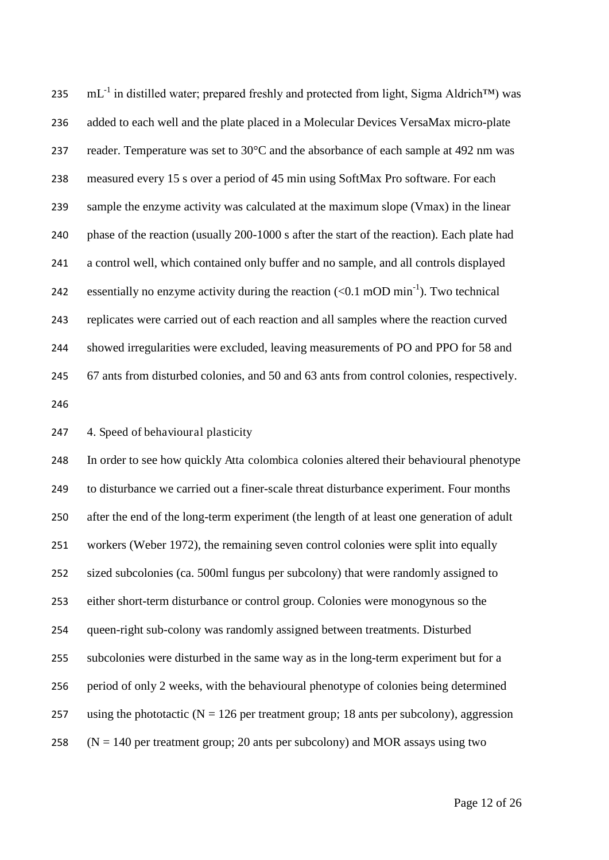$\text{mL}^{-1}$  in distilled water; prepared freshly and protected from light, Sigma Aldrich™) was added to each well and the plate placed in a Molecular Devices VersaMax micro-plate reader. Temperature was set to 30°C and the absorbance of each sample at 492 nm was measured every 15 s over a period of 45 min using SoftMax Pro software. For each sample the enzyme activity was calculated at the maximum slope (Vmax) in the linear phase of the reaction (usually 200-1000 s after the start of the reaction). Each plate had a control well, which contained only buffer and no sample, and all controls displayed essentially no enzyme activity during the reaction  $( $0.1 \text{ mOD min}^{-1}$ ). Two technical$  replicates were carried out of each reaction and all samples where the reaction curved showed irregularities were excluded, leaving measurements of PO and PPO for 58 and 67 ants from disturbed colonies, and 50 and 63 ants from control colonies, respectively.

4. Speed of behavioural plasticity

 In order to see how quickly Atta colombica colonies altered their behavioural phenotype to disturbance we carried out a finer-scale threat disturbance experiment. Four months after the end of the long-term experiment (the length of at least one generation of adult workers (Weber 1972), the remaining seven control colonies were split into equally sized subcolonies (ca. 500ml fungus per subcolony) that were randomly assigned to either short-term disturbance or control group. Colonies were monogynous so the queen-right sub-colony was randomly assigned between treatments. Disturbed subcolonies were disturbed in the same way as in the long-term experiment but for a period of only 2 weeks, with the behavioural phenotype of colonies being determined 257 using the phototactic ( $N = 126$  per treatment group; 18 ants per subcolony), aggression  $(N = 140$  per treatment group; 20 ants per subcolony) and MOR assays using two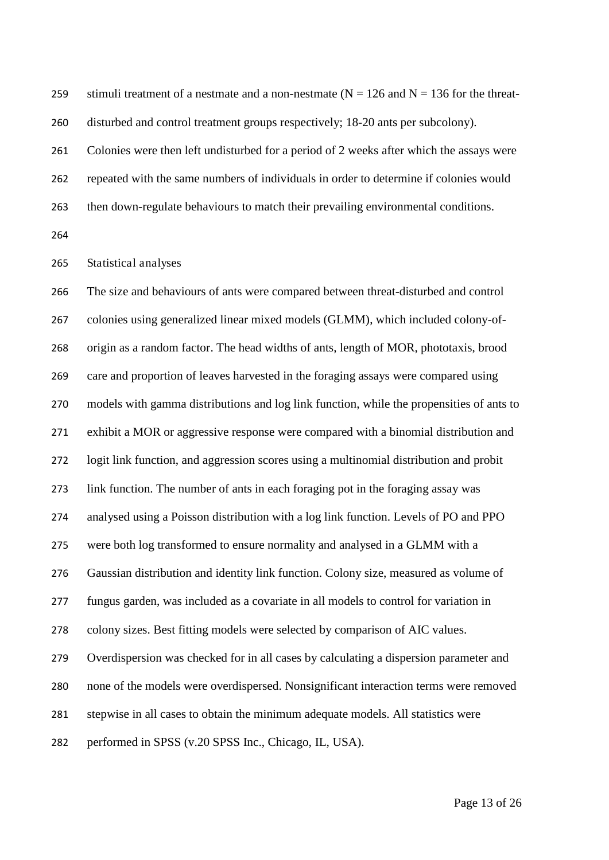259 stimuli treatment of a nestmate and a non-nestmate ( $N = 126$  and  $N = 136$  for the threat-disturbed and control treatment groups respectively; 18-20 ants per subcolony).

 Colonies were then left undisturbed for a period of 2 weeks after which the assays were repeated with the same numbers of individuals in order to determine if colonies would then down-regulate behaviours to match their prevailing environmental conditions.

Statistical analyses

 The size and behaviours of ants were compared between threat-disturbed and control colonies using generalized linear mixed models (GLMM), which included colony-of- origin as a random factor. The head widths of ants, length of MOR, phototaxis, brood care and proportion of leaves harvested in the foraging assays were compared using models with gamma distributions and log link function, while the propensities of ants to exhibit a MOR or aggressive response were compared with a binomial distribution and logit link function, and aggression scores using a multinomial distribution and probit link function. The number of ants in each foraging pot in the foraging assay was analysed using a Poisson distribution with a log link function. Levels of PO and PPO were both log transformed to ensure normality and analysed in a GLMM with a Gaussian distribution and identity link function. Colony size, measured as volume of fungus garden, was included as a covariate in all models to control for variation in colony sizes. Best fitting models were selected by comparison of AIC values. Overdispersion was checked for in all cases by calculating a dispersion parameter and none of the models were overdispersed. Nonsignificant interaction terms were removed stepwise in all cases to obtain the minimum adequate models. All statistics were performed in SPSS (v.20 SPSS Inc., Chicago, IL, USA).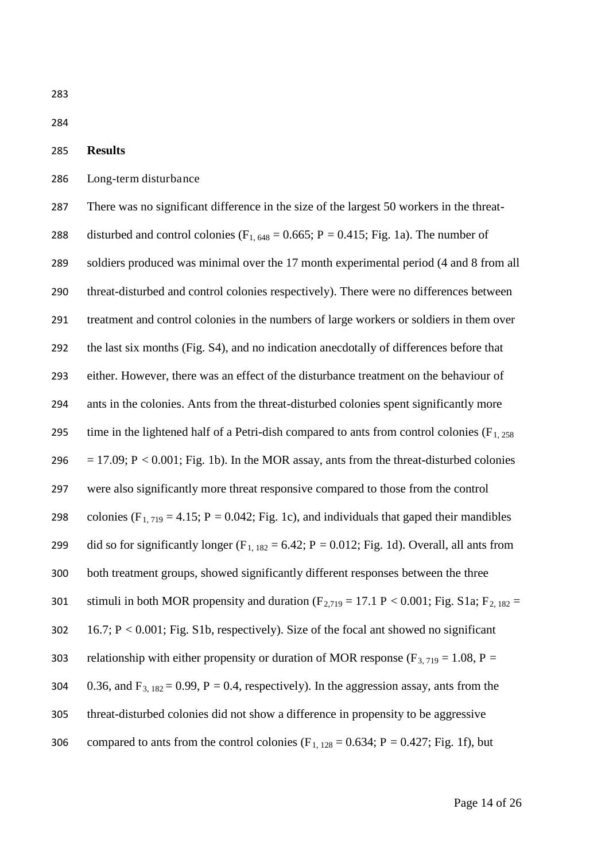284

## 285 **Results**

286 Long-term disturbance

287 There was no significant difference in the size of the largest 50 workers in the threat-288 disturbed and control colonies  $(F_{1, 648} = 0.665; P = 0.415; Fig. 1a)$ . The number of 289 soldiers produced was minimal over the 17 month experimental period (4 and 8 from all 290 threat-disturbed and control colonies respectively). There were no differences between 291 treatment and control colonies in the numbers of large workers or soldiers in them over 292 the last six months (Fig. S4), and no indication anecdotally of differences before that 293 either. However, there was an effect of the disturbance treatment on the behaviour of 294 ants in the colonies. Ants from the threat-disturbed colonies spent significantly more 295 time in the lightened half of a Petri-dish compared to ants from control colonies ( $F<sub>1, 258</sub>$ ) 296 = 17.09; P < 0.001; Fig. 1b). In the MOR assay, ants from the threat-disturbed colonies 297 were also significantly more threat responsive compared to those from the control 298 colonies (F<sub>1, 719</sub> = 4.15; P = 0.042; Fig. 1c), and individuals that gaped their mandibles 299 did so for significantly longer  $(F_{1, 182} = 6.42; P = 0.012; Fig. 1d)$ . Overall, all ants from 300 both treatment groups, showed significantly different responses between the three 301 stimuli in both MOR propensity and duration  $(F_{2,719} = 17.1 \text{ P} < 0.001$ ; Fig. S1a;  $F_{2,182} =$ 302 16.7; P < 0.001; Fig. S1b, respectively). Size of the focal ant showed no significant 303 relationship with either propensity or duration of MOR response ( $F_{3, 719} = 1.08$ , P = 304 0.36, and  $F_{3, 182} = 0.99$ ,  $P = 0.4$ , respectively). In the aggression assay, ants from the 305 threat-disturbed colonies did not show a difference in propensity to be aggressive 306 compared to ants from the control colonies (F<sub>1, 128</sub> = 0.634; P = 0.427; Fig. 1f), but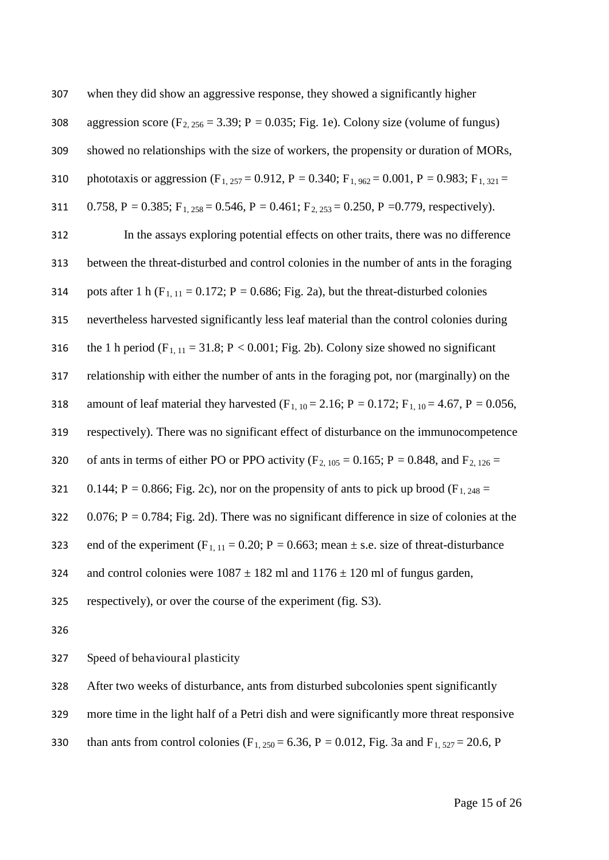| 307 | when they did show an aggressive response, they showed a significantly higher                                                |
|-----|------------------------------------------------------------------------------------------------------------------------------|
| 308 | aggression score ( $F_{2,256}$ = 3.39; P = 0.035; Fig. 1e). Colony size (volume of fungus)                                   |
| 309 | showed no relationships with the size of workers, the propensity or duration of MORs,                                        |
| 310 | phototaxis or aggression (F <sub>1,257</sub> = 0.912, P = 0.340; F <sub>1,962</sub> = 0.001, P = 0.983; F <sub>1,321</sub> = |
| 311 | 0.758, P = 0.385; F <sub>1,258</sub> = 0.546, P = 0.461; F <sub>2,253</sub> = 0.250, P = 0.779, respectively).               |
| 312 | In the assays exploring potential effects on other traits, there was no difference                                           |
| 313 | between the threat-disturbed and control colonies in the number of ants in the foraging                                      |
| 314 | pots after 1 h ( $F_{1,11} = 0.172$ ; P = 0.686; Fig. 2a), but the threat-disturbed colonies                                 |
| 315 | nevertheless harvested significantly less leaf material than the control colonies during                                     |
| 316 | the 1 h period ( $F_{1,11} = 31.8$ ; P < 0.001; Fig. 2b). Colony size showed no significant                                  |
| 317 | relationship with either the number of ants in the foraging pot, nor (marginally) on the                                     |
| 318 | amount of leaf material they harvested (F <sub>1, 10</sub> = 2.16; P = 0.172; F <sub>1, 10</sub> = 4.67, P = 0.056,          |
| 319 | respectively). There was no significant effect of disturbance on the immunocompetence                                        |
| 320 | of ants in terms of either PO or PPO activity ( $F_{2, 105} = 0.165$ ; P = 0.848, and $F_{2, 126} =$                         |
| 321 | 0.144; P = 0.866; Fig. 2c), nor on the propensity of ants to pick up brood ( $F_{1,248}$ =                                   |
| 322 | $0.076$ ; P = 0.784; Fig. 2d). There was no significant difference in size of colonies at the                                |
| 323 | end of the experiment ( $F_{1, 11} = 0.20$ ; $P = 0.663$ ; mean $\pm$ s.e. size of threat-disturbance                        |
| 324 | and control colonies were $1087 \pm 182$ ml and $1176 \pm 120$ ml of fungus garden,                                          |
| 325 | respectively), or over the course of the experiment (fig. S3).                                                               |
| 326 |                                                                                                                              |
| 327 | Speed of behavioural plasticity                                                                                              |

After two weeks of disturbance, ants from disturbed subcolonies spent significantly

more time in the light half of a Petri dish and were significantly more threat responsive

330 than ants from control colonies (F<sub>1, 250</sub> = 6.36, P = 0.012, Fig. 3a and F<sub>1, 527</sub> = 20.6, P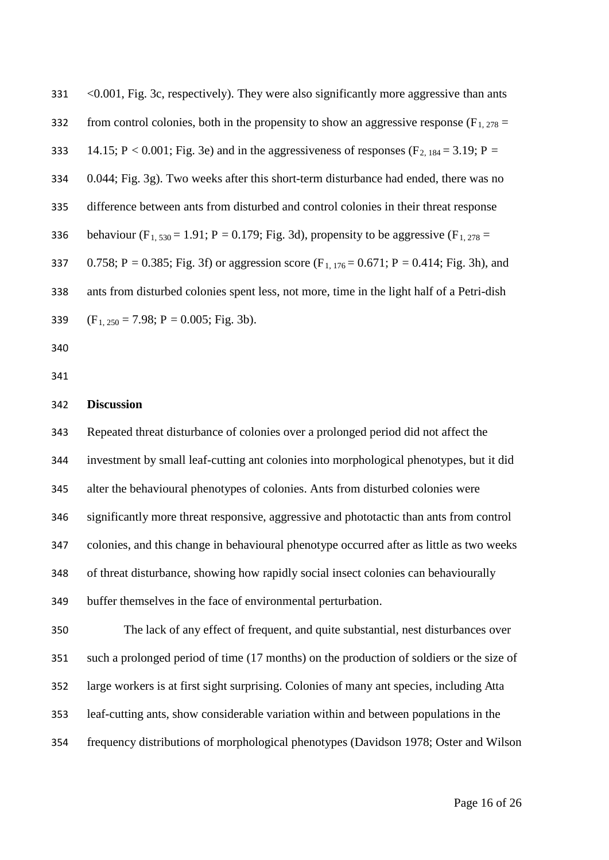| 331 | <0.001, Fig. 3c, respectively). They were also significantly more aggressive than ants                       |
|-----|--------------------------------------------------------------------------------------------------------------|
| 332 | from control colonies, both in the propensity to show an aggressive response ( $F_{1,278}$ =                 |
| 333 | 14.15; P < 0.001; Fig. 3e) and in the aggressiveness of responses ( $F_{2,184} = 3.19$ ; P =                 |
| 334 | 0.044; Fig. 3g). Two weeks after this short-term disturbance had ended, there was no                         |
| 335 | difference between ants from disturbed and control colonies in their threat response                         |
| 336 | behaviour (F <sub>1,530</sub> = 1.91; P = 0.179; Fig. 3d), propensity to be aggressive (F <sub>1,278</sub> = |
| 337 | 0.758; P = 0.385; Fig. 3f) or aggression score $(F_{1, 176} = 0.671; P = 0.414; Fig. 3h)$ , and              |
| 338 | ants from disturbed colonies spent less, not more, time in the light half of a Petri-dish                    |
| 339 | $(F1, 250 = 7.98; P = 0.005; Fig. 3b).$                                                                      |
| 340 |                                                                                                              |

#### **Discussion**

 Repeated threat disturbance of colonies over a prolonged period did not affect the investment by small leaf-cutting ant colonies into morphological phenotypes, but it did alter the behavioural phenotypes of colonies. Ants from disturbed colonies were significantly more threat responsive, aggressive and phototactic than ants from control colonies, and this change in behavioural phenotype occurred after as little as two weeks of threat disturbance, showing how rapidly social insect colonies can behaviourally buffer themselves in the face of environmental perturbation.

 The lack of any effect of frequent, and quite substantial, nest disturbances over such a prolonged period of time (17 months) on the production of soldiers or the size of large workers is at first sight surprising. Colonies of many ant species, including Atta leaf-cutting ants, show considerable variation within and between populations in the frequency distributions of morphological phenotypes (Davidson 1978; Oster and Wilson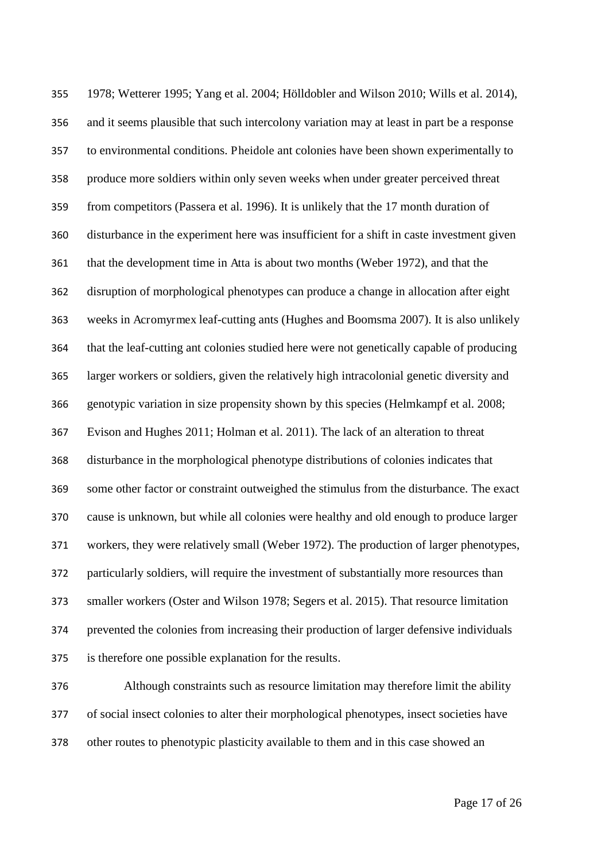1978; Wetterer 1995; Yang et al. 2004; Hölldobler and Wilson 2010; Wills et al. 2014), and it seems plausible that such intercolony variation may at least in part be a response to environmental conditions. Pheidole ant colonies have been shown experimentally to produce more soldiers within only seven weeks when under greater perceived threat from competitors (Passera et al. 1996). It is unlikely that the 17 month duration of disturbance in the experiment here was insufficient for a shift in caste investment given that the development time in Atta is about two months (Weber 1972), and that the disruption of morphological phenotypes can produce a change in allocation after eight weeks in Acromyrmex leaf-cutting ants (Hughes and Boomsma 2007). It is also unlikely that the leaf-cutting ant colonies studied here were not genetically capable of producing larger workers or soldiers, given the relatively high intracolonial genetic diversity and genotypic variation in size propensity shown by this species (Helmkampf et al. 2008; Evison and Hughes 2011; Holman et al. 2011). The lack of an alteration to threat disturbance in the morphological phenotype distributions of colonies indicates that some other factor or constraint outweighed the stimulus from the disturbance. The exact cause is unknown, but while all colonies were healthy and old enough to produce larger workers, they were relatively small (Weber 1972). The production of larger phenotypes, particularly soldiers, will require the investment of substantially more resources than smaller workers (Oster and Wilson 1978; Segers et al. 2015). That resource limitation prevented the colonies from increasing their production of larger defensive individuals is therefore one possible explanation for the results.

 Although constraints such as resource limitation may therefore limit the ability of social insect colonies to alter their morphological phenotypes, insect societies have other routes to phenotypic plasticity available to them and in this case showed an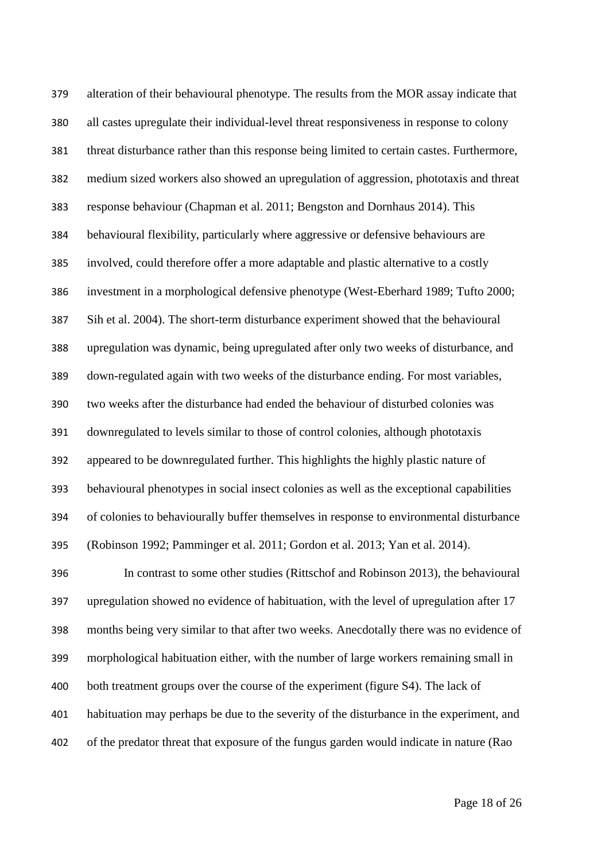alteration of their behavioural phenotype. The results from the MOR assay indicate that all castes upregulate their individual-level threat responsiveness in response to colony threat disturbance rather than this response being limited to certain castes. Furthermore, medium sized workers also showed an upregulation of aggression, phototaxis and threat response behaviour (Chapman et al. 2011; Bengston and Dornhaus 2014). This behavioural flexibility, particularly where aggressive or defensive behaviours are involved, could therefore offer a more adaptable and plastic alternative to a costly investment in a morphological defensive phenotype (West-Eberhard 1989; Tufto 2000; Sih et al. 2004). The short-term disturbance experiment showed that the behavioural upregulation was dynamic, being upregulated after only two weeks of disturbance, and down-regulated again with two weeks of the disturbance ending. For most variables, two weeks after the disturbance had ended the behaviour of disturbed colonies was downregulated to levels similar to those of control colonies, although phototaxis appeared to be downregulated further. This highlights the highly plastic nature of behavioural phenotypes in social insect colonies as well as the exceptional capabilities of colonies to behaviourally buffer themselves in response to environmental disturbance (Robinson 1992; Pamminger et al. 2011; Gordon et al. 2013; Yan et al. 2014). In contrast to some other studies (Rittschof and Robinson 2013), the behavioural upregulation showed no evidence of habituation, with the level of upregulation after 17 months being very similar to that after two weeks. Anecdotally there was no evidence of morphological habituation either, with the number of large workers remaining small in both treatment groups over the course of the experiment (figure S4). The lack of

of the predator threat that exposure of the fungus garden would indicate in nature (Rao

habituation may perhaps be due to the severity of the disturbance in the experiment, and

Page 18 of 26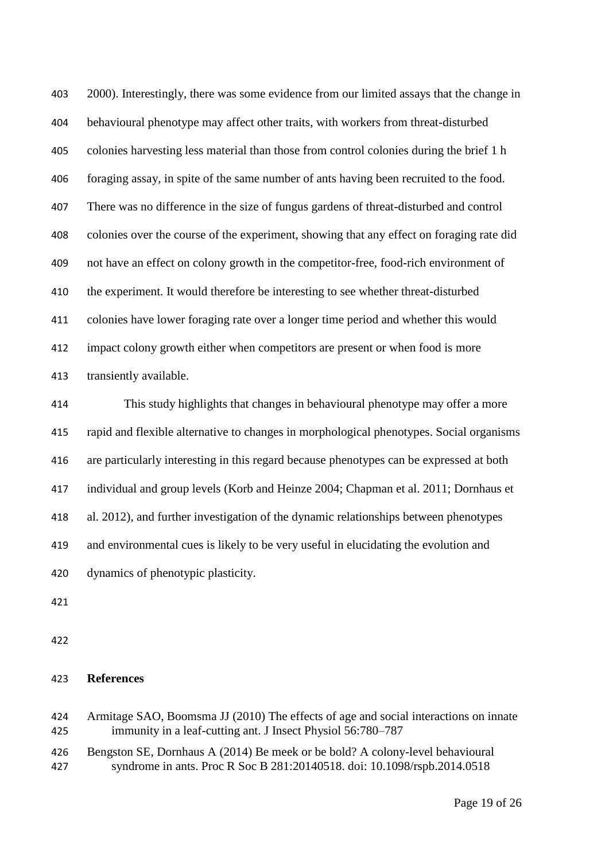2000). Interestingly, there was some evidence from our limited assays that the change in behavioural phenotype may affect other traits, with workers from threat-disturbed colonies harvesting less material than those from control colonies during the brief 1 h foraging assay, in spite of the same number of ants having been recruited to the food. There was no difference in the size of fungus gardens of threat-disturbed and control colonies over the course of the experiment, showing that any effect on foraging rate did not have an effect on colony growth in the competitor-free, food-rich environment of the experiment. It would therefore be interesting to see whether threat-disturbed colonies have lower foraging rate over a longer time period and whether this would impact colony growth either when competitors are present or when food is more transiently available.

 This study highlights that changes in behavioural phenotype may offer a more rapid and flexible alternative to changes in morphological phenotypes. Social organisms are particularly interesting in this regard because phenotypes can be expressed at both individual and group levels (Korb and Heinze 2004; Chapman et al. 2011; Dornhaus et al. 2012), and further investigation of the dynamic relationships between phenotypes and environmental cues is likely to be very useful in elucidating the evolution and dynamics of phenotypic plasticity.

### **References**

- Armitage SAO, Boomsma JJ (2010) The effects of age and social interactions on innate immunity in a leaf-cutting ant. J Insect Physiol 56:780–787
- Bengston SE, Dornhaus A (2014) Be meek or be bold? A colony-level behavioural syndrome in ants. Proc R Soc B 281:20140518. doi: 10.1098/rspb.2014.0518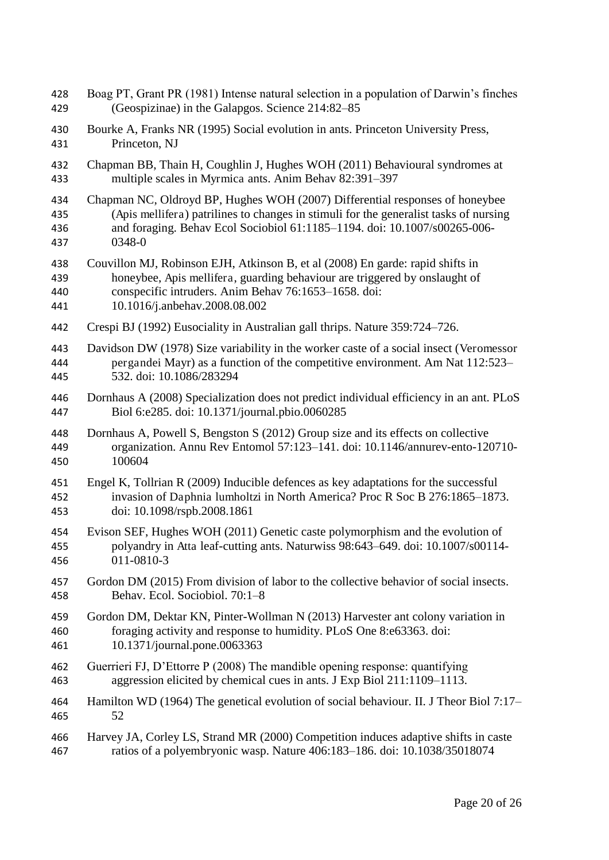Boag PT, Grant PR (1981) Intense natural selection in a population of Darwin's finches (Geospizinae) in the Galapgos. Science 214:82–85 Bourke A, Franks NR (1995) Social evolution in ants. Princeton University Press, Princeton, NJ Chapman BB, Thain H, Coughlin J, Hughes WOH (2011) Behavioural syndromes at multiple scales in Myrmica ants. Anim Behav 82:391–397 Chapman NC, Oldroyd BP, Hughes WOH (2007) Differential responses of honeybee (Apis mellifera) patrilines to changes in stimuli for the generalist tasks of nursing and foraging. Behav Ecol Sociobiol 61:1185–1194. doi: 10.1007/s00265-006- 0348-0 Couvillon MJ, Robinson EJH, Atkinson B, et al (2008) En garde: rapid shifts in honeybee, Apis mellifera, guarding behaviour are triggered by onslaught of conspecific intruders. Anim Behav 76:1653–1658. doi: 10.1016/j.anbehav.2008.08.002 Crespi BJ (1992) Eusociality in Australian gall thrips. Nature 359:724–726. Davidson DW (1978) Size variability in the worker caste of a social insect (Veromessor pergandei Mayr) as a function of the competitive environment. Am Nat 112:523– 532. doi: 10.1086/283294 Dornhaus A (2008) Specialization does not predict individual efficiency in an ant. PLoS Biol 6:e285. doi: 10.1371/journal.pbio.0060285 Dornhaus A, Powell S, Bengston S (2012) Group size and its effects on collective organization. Annu Rev Entomol 57:123–141. doi: 10.1146/annurev-ento-120710- 100604 Engel K, Tollrian R (2009) Inducible defences as key adaptations for the successful invasion of Daphnia lumholtzi in North America? Proc R Soc B 276:1865–1873. doi: 10.1098/rspb.2008.1861 Evison SEF, Hughes WOH (2011) Genetic caste polymorphism and the evolution of polyandry in Atta leaf-cutting ants. Naturwiss 98:643–649. doi: 10.1007/s00114- 011-0810-3 Gordon DM (2015) From division of labor to the collective behavior of social insects. Behav. Ecol. Sociobiol. 70:1–8 Gordon DM, Dektar KN, Pinter-Wollman N (2013) Harvester ant colony variation in foraging activity and response to humidity. PLoS One 8:e63363. doi: 10.1371/journal.pone.0063363 Guerrieri FJ, D'Ettorre P (2008) The mandible opening response: quantifying aggression elicited by chemical cues in ants. J Exp Biol 211:1109–1113. Hamilton WD (1964) The genetical evolution of social behaviour. II. J Theor Biol 7:17– 52 Harvey JA, Corley LS, Strand MR (2000) Competition induces adaptive shifts in caste ratios of a polyembryonic wasp. Nature 406:183–186. doi: 10.1038/35018074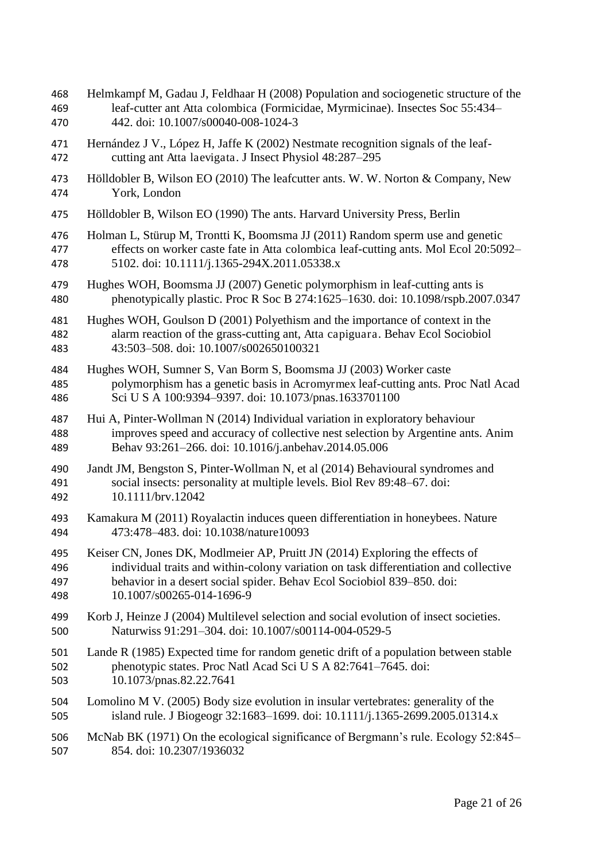leaf-cutter ant Atta colombica (Formicidae, Myrmicinae). Insectes Soc 55:434– 442. doi: 10.1007/s00040-008-1024-3 Hernández J V., López H, Jaffe K (2002) Nestmate recognition signals of the leaf- cutting ant Atta laevigata. J Insect Physiol 48:287–295 Hölldobler B, Wilson EO (2010) The leafcutter ants. W. W. Norton & Company, New York, London Hölldobler B, Wilson EO (1990) The ants. Harvard University Press, Berlin Holman L, Stürup M, Trontti K, Boomsma JJ (2011) Random sperm use and genetic effects on worker caste fate in Atta colombica leaf-cutting ants. Mol Ecol 20:5092– 5102. doi: 10.1111/j.1365-294X.2011.05338.x Hughes WOH, Boomsma JJ (2007) Genetic polymorphism in leaf-cutting ants is phenotypically plastic. Proc R Soc B 274:1625–1630. doi: 10.1098/rspb.2007.0347 Hughes WOH, Goulson D (2001) Polyethism and the importance of context in the alarm reaction of the grass-cutting ant, Atta capiguara. Behav Ecol Sociobiol 43:503–508. doi: 10.1007/s002650100321 Hughes WOH, Sumner S, Van Borm S, Boomsma JJ (2003) Worker caste polymorphism has a genetic basis in Acromyrmex leaf-cutting ants. Proc Natl Acad Sci U S A 100:9394–9397. doi: 10.1073/pnas.1633701100 Hui A, Pinter-Wollman N (2014) Individual variation in exploratory behaviour improves speed and accuracy of collective nest selection by Argentine ants. Anim Behav 93:261–266. doi: 10.1016/j.anbehav.2014.05.006 Jandt JM, Bengston S, Pinter-Wollman N, et al (2014) Behavioural syndromes and social insects: personality at multiple levels. Biol Rev 89:48–67. doi: 10.1111/brv.12042 Kamakura M (2011) Royalactin induces queen differentiation in honeybees. Nature 473:478–483. doi: 10.1038/nature10093 Keiser CN, Jones DK, Modlmeier AP, Pruitt JN (2014) Exploring the effects of individual traits and within-colony variation on task differentiation and collective behavior in a desert social spider. Behav Ecol Sociobiol 839–850. doi: 10.1007/s00265-014-1696-9 Korb J, Heinze J (2004) Multilevel selection and social evolution of insect societies. Naturwiss 91:291–304. doi: 10.1007/s00114-004-0529-5 Lande R (1985) Expected time for random genetic drift of a population between stable phenotypic states. Proc Natl Acad Sci U S A 82:7641–7645. doi: 10.1073/pnas.82.22.7641 Lomolino M V. (2005) Body size evolution in insular vertebrates: generality of the island rule. J Biogeogr 32:1683–1699. doi: 10.1111/j.1365-2699.2005.01314.x McNab BK (1971) On the ecological significance of Bergmann's rule. Ecology 52:845– 854. doi: 10.2307/1936032

Helmkampf M, Gadau J, Feldhaar H (2008) Population and sociogenetic structure of the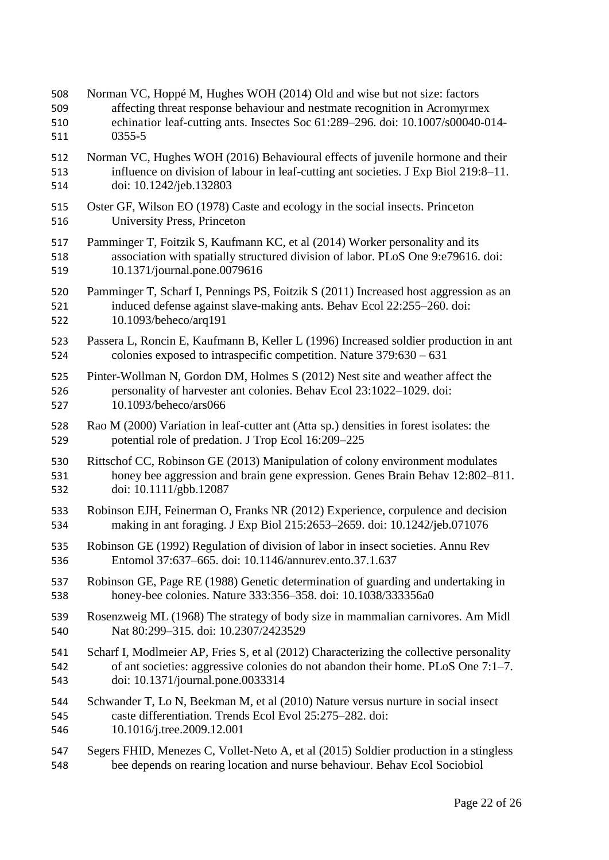| 508 | Norman VC, Hoppé M, Hughes WOH (2014) Old and wise but not size: factors                |
|-----|-----------------------------------------------------------------------------------------|
| 509 | affecting threat response behaviour and nestmate recognition in Acromyrmex              |
| 510 | echinatior leaf-cutting ants. Insectes Soc 61:289-296. doi: 10.1007/s00040-014-         |
| 511 | $0355 - 5$                                                                              |
| 512 | Norman VC, Hughes WOH (2016) Behavioural effects of juvenile hormone and their          |
| 513 | influence on division of labour in leaf-cutting ant societies. J Exp Biol 219:8-11.     |
| 514 | doi: 10.1242/jeb.132803                                                                 |
| 515 | Oster GF, Wilson EO (1978) Caste and ecology in the social insects. Princeton           |
| 516 | University Press, Princeton                                                             |
| 517 | Pamminger T, Foitzik S, Kaufmann KC, et al (2014) Worker personality and its            |
| 518 | association with spatially structured division of labor. PLoS One 9:e79616. doi:        |
| 519 | 10.1371/journal.pone.0079616                                                            |
| 520 | Pamminger T, Scharf I, Pennings PS, Foitzik S (2011) Increased host aggression as an    |
| 521 | induced defense against slave-making ants. Behav Ecol 22:255–260. doi:                  |
| 522 | 10.1093/beheco/arq191                                                                   |
| 523 | Passera L, Roncin E, Kaufmann B, Keller L (1996) Increased soldier production in ant    |
| 524 | colonies exposed to intraspecific competition. Nature $379:630 - 631$                   |
| 525 | Pinter-Wollman N, Gordon DM, Holmes S (2012) Nest site and weather affect the           |
| 526 | personality of harvester ant colonies. Behav Ecol 23:1022-1029. doi:                    |
| 527 | 10.1093/beheco/ars066                                                                   |
| 528 | Rao M (2000) Variation in leaf-cutter ant (Atta sp.) densities in forest isolates: the  |
| 529 | potential role of predation. J Trop Ecol 16:209–225                                     |
| 530 | Rittschof CC, Robinson GE (2013) Manipulation of colony environment modulates           |
| 531 | honey bee aggression and brain gene expression. Genes Brain Behav 12:802-811.           |
| 532 | doi: 10.1111/gbb.12087                                                                  |
| 533 | Robinson EJH, Feinerman O, Franks NR (2012) Experience, corpulence and decision         |
| 534 | making in ant foraging. J Exp Biol 215:2653-2659. doi: 10.1242/jeb.071076               |
| 535 | Robinson GE (1992) Regulation of division of labor in insect societies. Annu Rev        |
| 536 | Entomol 37:637–665, doi: 10.1146/annurey.ento.37.1.637                                  |
| 537 | Robinson GE, Page RE (1988) Genetic determination of guarding and undertaking in        |
| 538 | honey-bee colonies. Nature 333:356-358. doi: 10.1038/333356a0                           |
| 539 | Rosenzweig ML (1968) The strategy of body size in mammalian carnivores. Am Midl         |
| 540 | Nat 80:299-315. doi: 10.2307/2423529                                                    |
| 541 | Scharf I, Modlmeier AP, Fries S, et al (2012) Characterizing the collective personality |
| 542 | of ant societies: aggressive colonies do not abandon their home. PLoS One 7:1-7.        |
| 543 | doi: 10.1371/journal.pone.0033314                                                       |
| 544 | Schwander T, Lo N, Beekman M, et al (2010) Nature versus nurture in social insect       |
| 545 | caste differentiation. Trends Ecol Evol 25:275–282. doi:                                |
| 546 | 10.1016/j.tree.2009.12.001                                                              |
| 547 | Segers FHID, Menezes C, Vollet-Neto A, et al (2015) Soldier production in a stingless   |
| 548 | bee depends on rearing location and nurse behaviour. Behav Ecol Sociobiol               |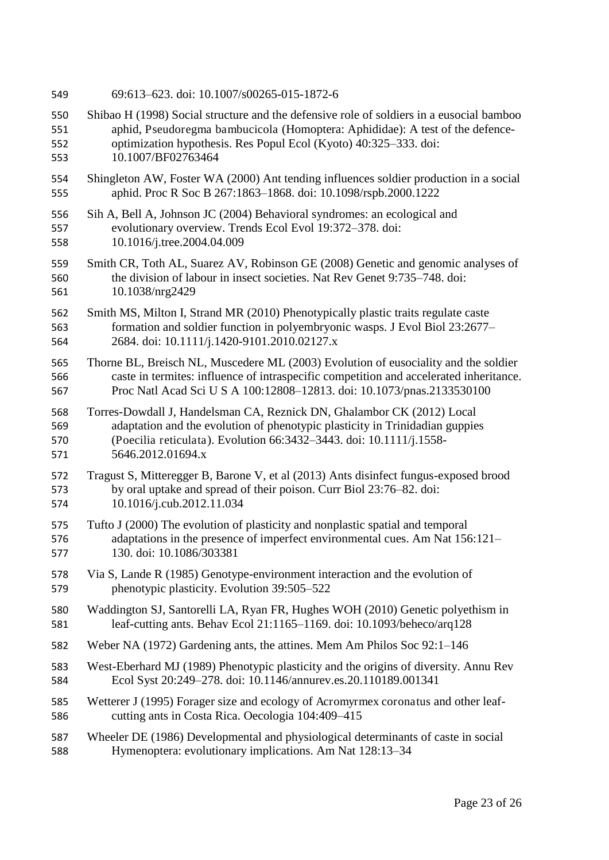- 69:613–623. doi: 10.1007/s00265-015-1872-6
- Shibao H (1998) Social structure and the defensive role of soldiers in a eusocial bamboo aphid, Pseudoregma bambucicola (Homoptera: Aphididae): A test of the defence-optimization hypothesis. Res Popul Ecol (Kyoto) 40:325–333. doi:

10.1007/BF02763464

- Shingleton AW, Foster WA (2000) Ant tending influences soldier production in a social aphid. Proc R Soc B 267:1863–1868. doi: 10.1098/rspb.2000.1222
- Sih A, Bell A, Johnson JC (2004) Behavioral syndromes: an ecological and evolutionary overview. Trends Ecol Evol 19:372–378. doi: 10.1016/j.tree.2004.04.009
- Smith CR, Toth AL, Suarez AV, Robinson GE (2008) Genetic and genomic analyses of the division of labour in insect societies. Nat Rev Genet 9:735–748. doi: 10.1038/nrg2429
- Smith MS, Milton I, Strand MR (2010) Phenotypically plastic traits regulate caste formation and soldier function in polyembryonic wasps. J Evol Biol 23:2677– 2684. doi: 10.1111/j.1420-9101.2010.02127.x
- Thorne BL, Breisch NL, Muscedere ML (2003) Evolution of eusociality and the soldier caste in termites: influence of intraspecific competition and accelerated inheritance. Proc Natl Acad Sci U S A 100:12808–12813. doi: 10.1073/pnas.2133530100
- Torres-Dowdall J, Handelsman CA, Reznick DN, Ghalambor CK (2012) Local adaptation and the evolution of phenotypic plasticity in Trinidadian guppies (Poecilia reticulata). Evolution 66:3432–3443. doi: 10.1111/j.1558- 5646.2012.01694.x
- Tragust S, Mitteregger B, Barone V, et al (2013) Ants disinfect fungus-exposed brood by oral uptake and spread of their poison. Curr Biol 23:76–82. doi: 10.1016/j.cub.2012.11.034
- Tufto J (2000) The evolution of plasticity and nonplastic spatial and temporal adaptations in the presence of imperfect environmental cues. Am Nat 156:121– 130. doi: 10.1086/303381
- Via S, Lande R (1985) Genotype-environment interaction and the evolution of phenotypic plasticity. Evolution 39:505–522
- Waddington SJ, Santorelli LA, Ryan FR, Hughes WOH (2010) Genetic polyethism in leaf-cutting ants. Behav Ecol 21:1165–1169. doi: 10.1093/beheco/arq128
- Weber NA (1972) Gardening ants, the attines. Mem Am Philos Soc 92:1–146
- West-Eberhard MJ (1989) Phenotypic plasticity and the origins of diversity. Annu Rev Ecol Syst 20:249–278. doi: 10.1146/annurev.es.20.110189.001341
- Wetterer J (1995) Forager size and ecology of Acromyrmex coronatus and other leaf-cutting ants in Costa Rica. Oecologia 104:409–415
- Wheeler DE (1986) Developmental and physiological determinants of caste in social Hymenoptera: evolutionary implications. Am Nat 128:13–34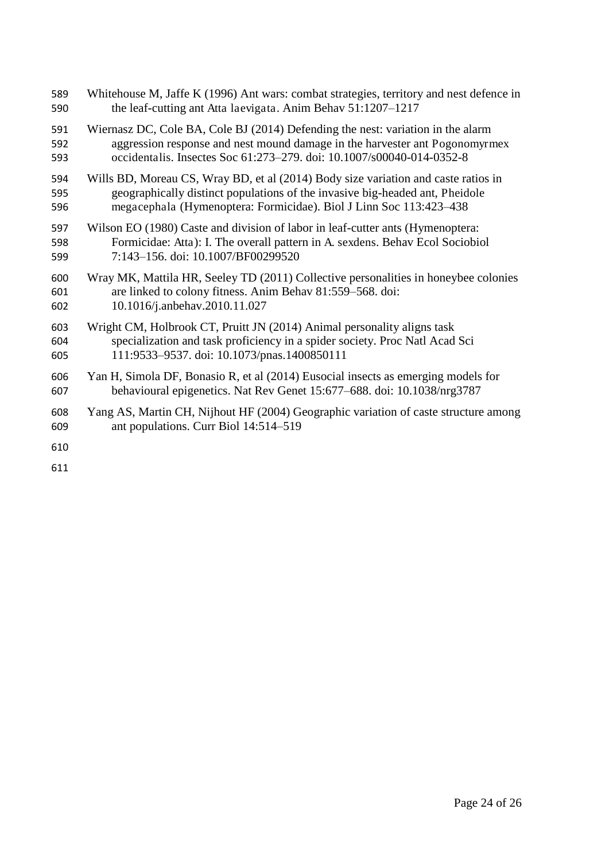| 589 | Whitehouse M, Jaffe K (1996) Ant wars: combat strategies, territory and nest defence in |
|-----|-----------------------------------------------------------------------------------------|
| 590 | the leaf-cutting ant Atta laevigata. Anim Behav 51:1207-1217                            |
| 591 | Wiernasz DC, Cole BA, Cole BJ (2014) Defending the nest: variation in the alarm         |
| 592 | aggression response and nest mound damage in the harvester ant Pogonomyrmex             |
| 593 | occidentalis. Insectes Soc 61:273-279. doi: 10.1007/s00040-014-0352-8                   |
| 594 | Wills BD, Moreau CS, Wray BD, et al (2014) Body size variation and caste ratios in      |
| 595 | geographically distinct populations of the invasive big-headed ant, Pheidole            |
| 596 | megacephala (Hymenoptera: Formicidae). Biol J Linn Soc 113:423-438                      |
| 597 | Wilson EO (1980) Caste and division of labor in leaf-cutter ants (Hymenoptera:          |
| 598 | Formicidae: Atta): I. The overall pattern in A. sexdens. Behav Ecol Sociobiol           |
| 599 | 7:143-156. doi: 10.1007/BF00299520                                                      |
| 600 | Wray MK, Mattila HR, Seeley TD (2011) Collective personalities in honeybee colonies     |
| 601 | are linked to colony fitness. Anim Behav 81:559-568. doi:                               |
| 602 | 10.1016/j.anbehav.2010.11.027                                                           |
| 603 | Wright CM, Holbrook CT, Pruitt JN (2014) Animal personality aligns task                 |
| 604 | specialization and task proficiency in a spider society. Proc Natl Acad Sci             |
| 605 | 111:9533-9537. doi: 10.1073/pnas.1400850111                                             |
| 606 | Yan H, Simola DF, Bonasio R, et al (2014) Eusocial insects as emerging models for       |
| 607 | behavioural epigenetics. Nat Rev Genet 15:677–688. doi: 10.1038/nrg3787                 |
| 608 | Yang AS, Martin CH, Nijhout HF (2004) Geographic variation of caste structure among     |
| 609 | ant populations. Curr Biol 14:514-519                                                   |
| 610 |                                                                                         |
| 611 |                                                                                         |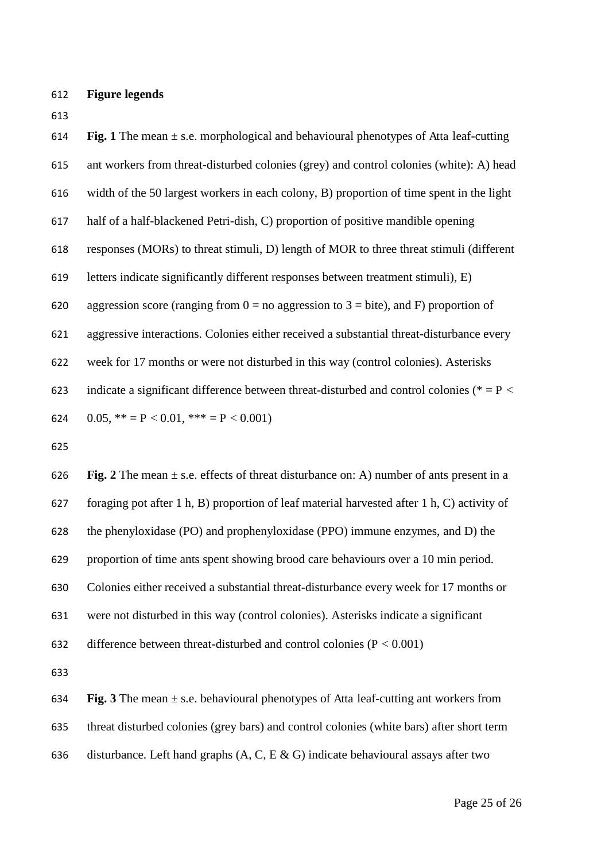- **Figure legends**
- 

**614 Fig. 1** The mean  $\pm$  s.e. morphological and behavioural phenotypes of Atta leaf-cutting ant workers from threat-disturbed colonies (grey) and control colonies (white): A) head width of the 50 largest workers in each colony, B) proportion of time spent in the light half of a half-blackened Petri-dish, C) proportion of positive mandible opening responses (MORs) to threat stimuli, D) length of MOR to three threat stimuli (different letters indicate significantly different responses between treatment stimuli), E) 620 aggression score (ranging from  $0 =$  no aggression to  $3 =$  bite), and F) proportion of aggressive interactions. Colonies either received a substantial threat-disturbance every week for 17 months or were not disturbed in this way (control colonies). Asterisks 623 indicate a significant difference between threat-disturbed and control colonies ( $* = P$  < 624 0.05,  $** = P < 0.01$ ,  $*** = P < 0.001$ ) 626 **Fig. 2** The mean  $\pm$  s.e. effects of threat disturbance on: A) number of ants present in a foraging pot after 1 h, B) proportion of leaf material harvested after 1 h, C) activity of the phenyloxidase (PO) and prophenyloxidase (PPO) immune enzymes, and D) the

proportion of time ants spent showing brood care behaviours over a 10 min period.

Colonies either received a substantial threat-disturbance every week for 17 months or

were not disturbed in this way (control colonies). Asterisks indicate a significant

632 difference between threat-disturbed and control colonies  $(P < 0.001)$ 

 **Fig. 3** The mean ± s.e. behavioural phenotypes of Atta leaf-cutting ant workers from threat disturbed colonies (grey bars) and control colonies (white bars) after short term 636 disturbance. Left hand graphs  $(A, C, E & G)$  indicate behavioural assays after two